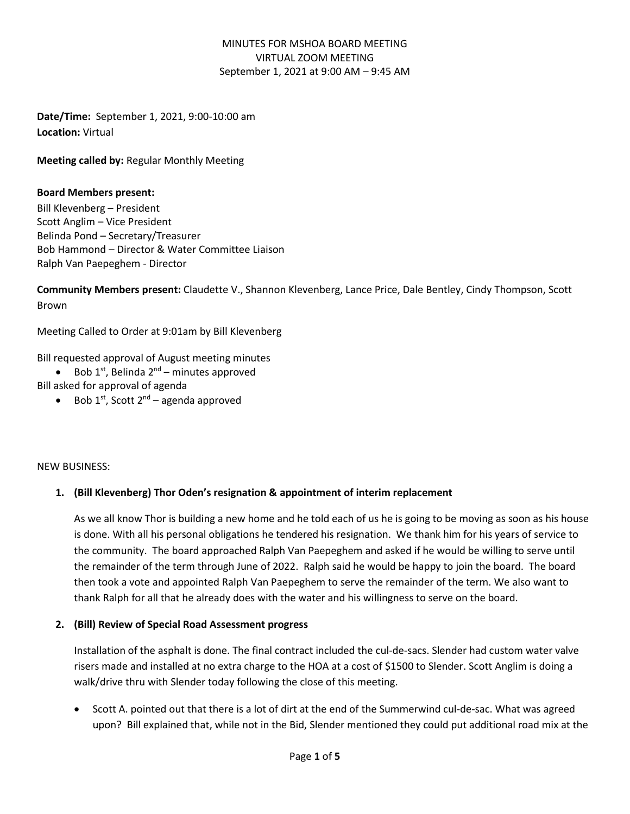**Date/Time:** September 1, 2021, 9:00-10:00 am **Location:** Virtual

**Meeting called by:** Regular Monthly Meeting

#### **Board Members present:**

Bill Klevenberg – President Scott Anglim – Vice President Belinda Pond – Secretary/Treasurer Bob Hammond – Director & Water Committee Liaison Ralph Van Paepeghem - Director

**Community Members present:** Claudette V., Shannon Klevenberg, Lance Price, Dale Bentley, Cindy Thompson, Scott Brown

Meeting Called to Order at 9:01am by Bill Klevenberg

Bill requested approval of August meeting minutes

- Bob  $1^{st}$ , Belinda  $2^{nd}$  minutes approved
- Bill asked for approval of agenda
	- Bob  $1^{st}$ , Scott  $2^{nd}$  agenda approved

#### NEW BUSINESS:

### **1. (Bill Klevenberg) Thor Oden's resignation & appointment of interim replacement**

As we all know Thor is building a new home and he told each of us he is going to be moving as soon as his house is done. With all his personal obligations he tendered his resignation. We thank him for his years of service to the community. The board approached Ralph Van Paepeghem and asked if he would be willing to serve until the remainder of the term through June of 2022. Ralph said he would be happy to join the board. The board then took a vote and appointed Ralph Van Paepeghem to serve the remainder of the term. We also want to thank Ralph for all that he already does with the water and his willingness to serve on the board.

#### **2. (Bill) Review of Special Road Assessment progress**

Installation of the asphalt is done. The final contract included the cul-de-sacs. Slender had custom water valve risers made and installed at no extra charge to the HOA at a cost of \$1500 to Slender. Scott Anglim is doing a walk/drive thru with Slender today following the close of this meeting.

• Scott A. pointed out that there is a lot of dirt at the end of the Summerwind cul-de-sac. What was agreed upon? Bill explained that, while not in the Bid, Slender mentioned they could put additional road mix at the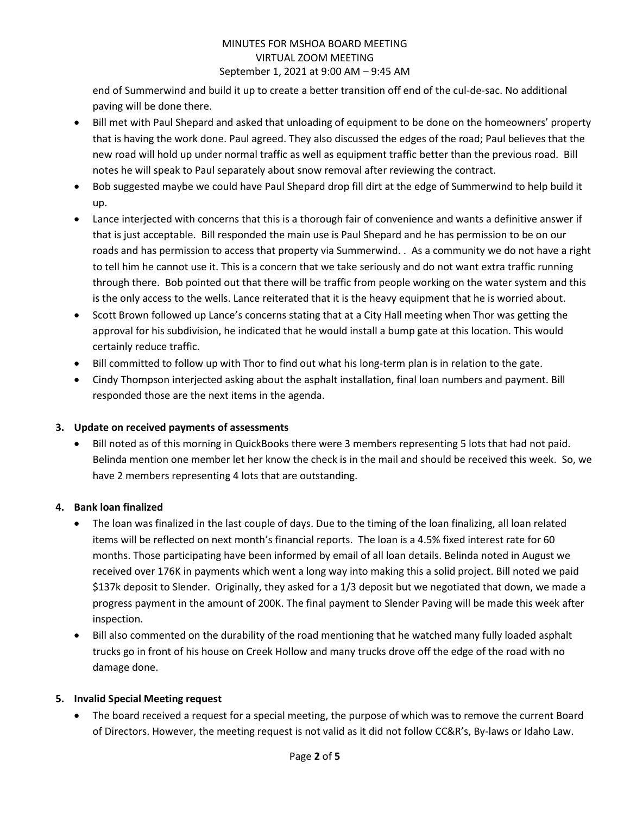end of Summerwind and build it up to create a better transition off end of the cul-de-sac. No additional paving will be done there.

- Bill met with Paul Shepard and asked that unloading of equipment to be done on the homeowners' property that is having the work done. Paul agreed. They also discussed the edges of the road; Paul believes that the new road will hold up under normal traffic as well as equipment traffic better than the previous road. Bill notes he will speak to Paul separately about snow removal after reviewing the contract.
- Bob suggested maybe we could have Paul Shepard drop fill dirt at the edge of Summerwind to help build it up.
- Lance interjected with concerns that this is a thorough fair of convenience and wants a definitive answer if that is just acceptable. Bill responded the main use is Paul Shepard and he has permission to be on our roads and has permission to access that property via Summerwind. . As a community we do not have a right to tell him he cannot use it. This is a concern that we take seriously and do not want extra traffic running through there. Bob pointed out that there will be traffic from people working on the water system and this is the only access to the wells. Lance reiterated that it is the heavy equipment that he is worried about.
- Scott Brown followed up Lance's concerns stating that at a City Hall meeting when Thor was getting the approval for his subdivision, he indicated that he would install a bump gate at this location. This would certainly reduce traffic.
- Bill committed to follow up with Thor to find out what his long-term plan is in relation to the gate.
- Cindy Thompson interjected asking about the asphalt installation, final loan numbers and payment. Bill responded those are the next items in the agenda.

# **3. Update on received payments of assessments**

• Bill noted as of this morning in QuickBooks there were 3 members representing 5 lots that had not paid. Belinda mention one member let her know the check is in the mail and should be received this week. So, we have 2 members representing 4 lots that are outstanding.

# **4. Bank loan finalized**

- The loan was finalized in the last couple of days. Due to the timing of the loan finalizing, all loan related items will be reflected on next month's financial reports. The loan is a 4.5% fixed interest rate for 60 months. Those participating have been informed by email of all loan details. Belinda noted in August we received over 176K in payments which went a long way into making this a solid project. Bill noted we paid \$137k deposit to Slender. Originally, they asked for a 1/3 deposit but we negotiated that down, we made a progress payment in the amount of 200K. The final payment to Slender Paving will be made this week after inspection.
- Bill also commented on the durability of the road mentioning that he watched many fully loaded asphalt trucks go in front of his house on Creek Hollow and many trucks drove off the edge of the road with no damage done.

# **5. Invalid Special Meeting request**

• The board received a request for a special meeting, the purpose of which was to remove the current Board of Directors. However, the meeting request is not valid as it did not follow CC&R's, By-laws or Idaho Law.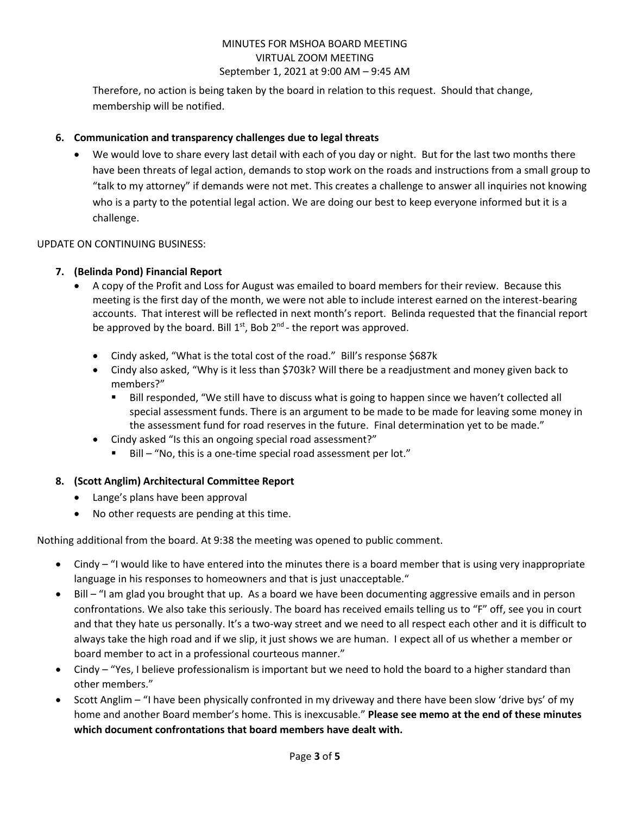Therefore, no action is being taken by the board in relation to this request. Should that change, membership will be notified.

## **6. Communication and transparency challenges due to legal threats**

• We would love to share every last detail with each of you day or night. But for the last two months there have been threats of legal action, demands to stop work on the roads and instructions from a small group to "talk to my attorney" if demands were not met. This creates a challenge to answer all inquiries not knowing who is a party to the potential legal action. We are doing our best to keep everyone informed but it is a challenge.

### UPDATE ON CONTINUING BUSINESS:

### **7. (Belinda Pond) Financial Report**

- A copy of the Profit and Loss for August was emailed to board members for their review. Because this meeting is the first day of the month, we were not able to include interest earned on the interest-bearing accounts. That interest will be reflected in next month's report. Belinda requested that the financial report be approved by the board. Bill  $1^{st}$ , Bob  $2^{nd}$ - the report was approved.
	- Cindy asked, "What is the total cost of the road." Bill's response \$687k
	- Cindy also asked, "Why is it less than \$703k? Will there be a readjustment and money given back to members?"
		- Bill responded, "We still have to discuss what is going to happen since we haven't collected all special assessment funds. There is an argument to be made to be made for leaving some money in the assessment fund for road reserves in the future. Final determination yet to be made."
	- Cindy asked "Is this an ongoing special road assessment?"
		- Bill "No, this is a one-time special road assessment per lot."

### **8. (Scott Anglim) Architectural Committee Report**

- Lange's plans have been approval
- No other requests are pending at this time.

Nothing additional from the board. At 9:38 the meeting was opened to public comment.

- Cindy "I would like to have entered into the minutes there is a board member that is using very inappropriate language in his responses to homeowners and that is just unacceptable."
- Bill "I am glad you brought that up. As a board we have been documenting aggressive emails and in person confrontations. We also take this seriously. The board has received emails telling us to "F" off, see you in court and that they hate us personally. It's a two-way street and we need to all respect each other and it is difficult to always take the high road and if we slip, it just shows we are human. I expect all of us whether a member or board member to act in a professional courteous manner."
- Cindy "Yes, I believe professionalism is important but we need to hold the board to a higher standard than other members."
- Scott Anglim "I have been physically confronted in my driveway and there have been slow 'drive bys' of my home and another Board member's home. This is inexcusable." **Please see memo at the end of these minutes which document confrontations that board members have dealt with.**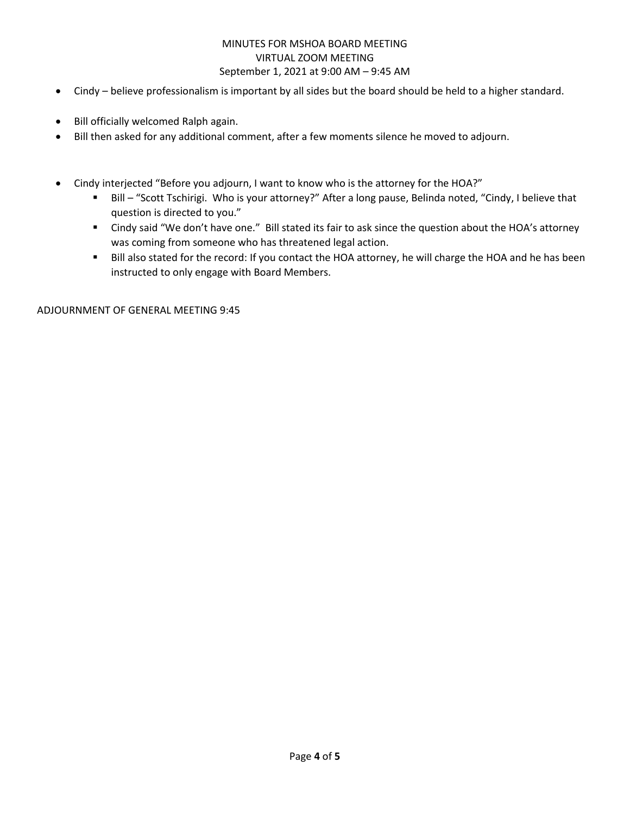- Cindy believe professionalism is important by all sides but the board should be held to a higher standard.
- Bill officially welcomed Ralph again.
- Bill then asked for any additional comment, after a few moments silence he moved to adjourn.
- Cindy interjected "Before you adjourn, I want to know who is the attorney for the HOA?"
	- Bill "Scott Tschirigi. Who is your attorney?" After a long pause, Belinda noted, "Cindy, I believe that question is directed to you."
	- Cindy said "We don't have one." Bill stated its fair to ask since the question about the HOA's attorney was coming from someone who has threatened legal action.
	- Bill also stated for the record: If you contact the HOA attorney, he will charge the HOA and he has been instructed to only engage with Board Members.

ADJOURNMENT OF GENERAL MEETING 9:45